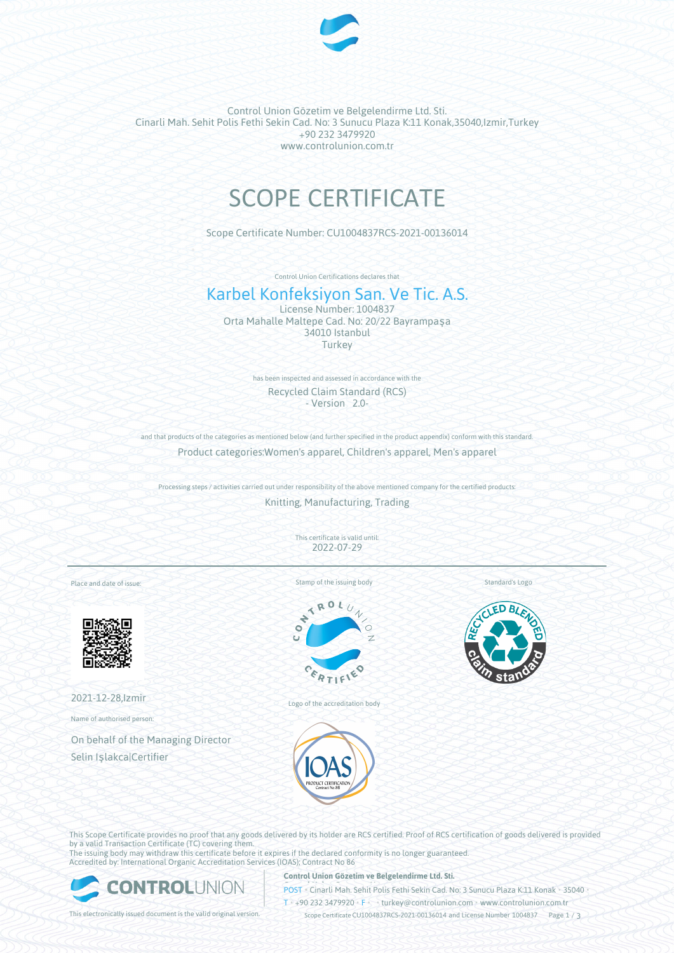

Control Union Gözetim ve Belgelendirme Ltd. Sti. Cinarli Mah. Sehit Polis Fethi Sekin Cad. No: 3 Sunucu Plaza K:11 Konak,35040,Izmir,Turkey +90 232 3479920 www.controlunion.com.tr

# SCOPE CERTIFICATE

Scope Certificate Number: CU1004837RCS-2021-00136014

Control Union Certifications declares that

# Karbel Konfeksiyon San. Ve Tic. A.S.

License Number: 1004837 Orta Mahalle Maltepe Cad. No: 20/22 Bayrampaşa 34010 Istanbul Turkey

> has been inspected and assessed in accordance with the Recycled Claim Standard (RCS) - Version 2.0-

and that products of the categories as mentioned below (and further specified in the product appendix) conform with this standard. Product categories:Women's apparel, Children's apparel, Men's apparel

Processing steps / activities carried out under responsibility of the above mentioned company for the certified products:

Knitting, Manufacturing, Trading

This certificate is valid until: 2022-07-29

Place and date of issue:



2021-12-28,Izmir

Name of authorised person:

On behalf of the Managing Director Selin Işlakca|Certifier

Stamp of the issuing body



Logo of the accreditation body



Standard's Logo



This Scope Certificate provides no proof that any goods delivered by its holder are RCS certified. Proof of RCS certification of goods delivered is provided by a valid Transaction Certificate (TC) covering them. The issuing body may withdraw this certificate before it expires if the declared conformity is no longer guaranteed.

Accredited by: International Organic Accreditation Services (IOAS); Contract No 86



**Control Union Gözetim ve Belgelendirme Ltd. Sti.**

**POST** • Cinarli Mah. Sehit Polis Fethi Sekin Cad. No: 3 Sunucu Plaza K:11 Konak • 35040

T • +90 232 3479920 • F • • turkey@controlunion.com • www.controlunion.com.tr

This electronically issued document is the valid original version. Scope Certificate CU1004837RCS-2021-00136014 and License Number 1004837 Page 1 / 3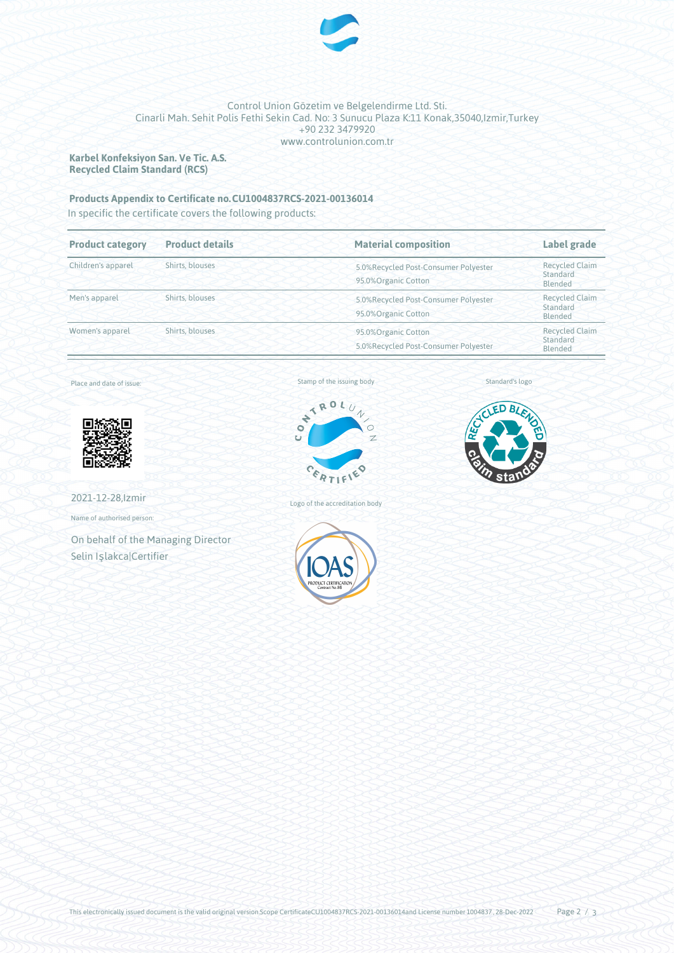

## Control Union Gözetim ve Belgelendirme Ltd. Sti. Cinarli Mah. Sehit Polis Fethi Sekin Cad. No: 3 Sunucu Plaza K:11 Konak,35040,Izmir,Turkey +90 232 3479920 www.controlunion.com.tr

**Karbel Konfeksiyon San. Ve Tic. A.S. Recycled Claim Standard (RCS)**

# **Products Appendix to Certificate no.CU1004837RCS-2021-00136014**

In specific the certificate covers the following products:

| <b>Product category</b> | <b>Product details</b> | <b>Material composition</b>                                 | Label grade                                  |
|-------------------------|------------------------|-------------------------------------------------------------|----------------------------------------------|
| Children's apparel      | Shirts, blouses        | 5.0%Recycled Post-Consumer Polyester<br>95.0%Organic Cotton | <b>Recycled Claim</b><br>Standard<br>Blended |
| Men's apparel           | Shirts, blouses        | 5.0%Recycled Post-Consumer Polyester<br>95.0%Organic Cotton | <b>Recycled Claim</b><br>Standard<br>Blended |
| Women's apparel         | Shirts, blouses        | 95.0%Organic Cotton<br>5.0%Recycled Post-Consumer Polyester | <b>Recycled Claim</b><br>Standard<br>Blended |

Place and date of issue:





Logo of the accreditation body

Standard's logo



2021-12-28,Izmir

Name of authorised person:

On behalf of the Managing Director Selin Işlakca|Certifier